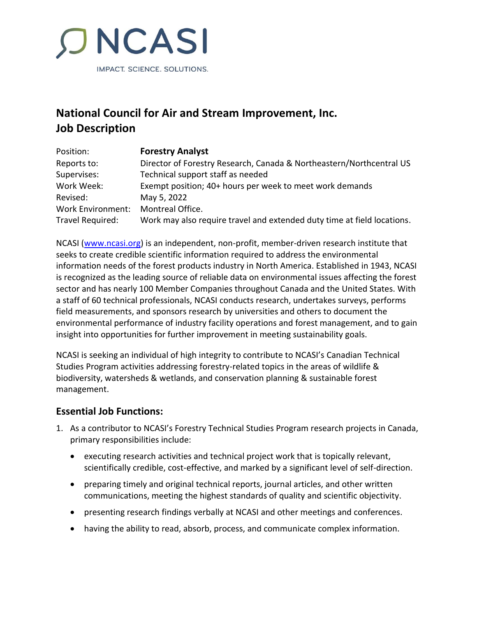

# **National Council for Air and Stream Improvement, Inc. Job Description**

| Position:         | <b>Forestry Analyst</b>                                                 |
|-------------------|-------------------------------------------------------------------------|
| Reports to:       | Director of Forestry Research, Canada & Northeastern/Northcentral US    |
| Supervises:       | Technical support staff as needed                                       |
| Work Week:        | Exempt position; 40+ hours per week to meet work demands                |
| Revised:          | May 5, 2022                                                             |
| Work Environment: | Montreal Office.                                                        |
| Travel Required:  | Work may also require travel and extended duty time at field locations. |

NCASI [\(www.ncasi.org\)](http://www.ncasi.org/) is an independent, non-profit, member-driven research institute that seeks to create credible scientific information required to address the environmental information needs of the forest products industry in North America. Established in 1943, NCASI is recognized as the leading source of reliable data on environmental issues affecting the forest sector and has nearly 100 Member Companies throughout Canada and the United States. With a staff of 60 technical professionals, NCASI conducts research, undertakes surveys, performs field measurements, and sponsors research by universities and others to document the environmental performance of industry facility operations and forest management, and to gain insight into opportunities for further improvement in meeting sustainability goals.

NCASI is seeking an individual of high integrity to contribute to NCASI's Canadian Technical Studies Program activities addressing forestry-related topics in the areas of wildlife & biodiversity, watersheds & wetlands, and conservation planning & sustainable forest management.

#### **Essential Job Functions:**

- 1. As a contributor to NCASI's Forestry Technical Studies Program research projects in Canada, primary responsibilities include:
	- executing research activities and technical project work that is topically relevant, scientifically credible, cost-effective, and marked by a significant level of self-direction.
	- preparing timely and original technical reports, journal articles, and other written communications, meeting the highest standards of quality and scientific objectivity.
	- presenting research findings verbally at NCASI and other meetings and conferences.
	- having the ability to read, absorb, process, and communicate complex information.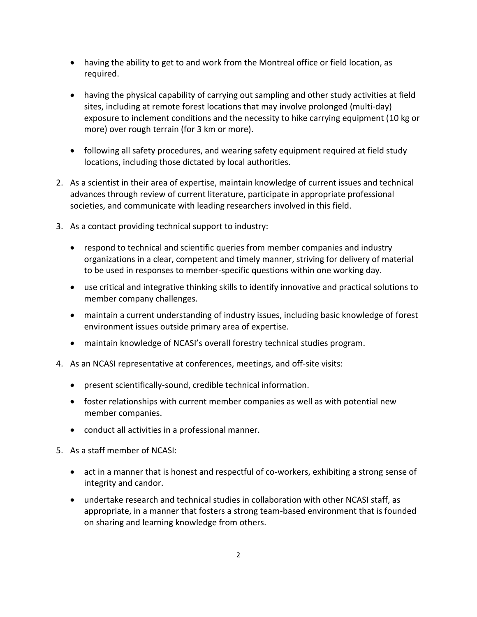- having the ability to get to and work from the Montreal office or field location, as required.
- having the physical capability of carrying out sampling and other study activities at field sites, including at remote forest locations that may involve prolonged (multi-day) exposure to inclement conditions and the necessity to hike carrying equipment (10 kg or more) over rough terrain (for 3 km or more).
- following all safety procedures, and wearing safety equipment required at field study locations, including those dictated by local authorities.
- 2. As a scientist in their area of expertise, maintain knowledge of current issues and technical advances through review of current literature, participate in appropriate professional societies, and communicate with leading researchers involved in this field.
- 3. As a contact providing technical support to industry:
	- respond to technical and scientific queries from member companies and industry organizations in a clear, competent and timely manner, striving for delivery of material to be used in responses to member-specific questions within one working day.
	- use critical and integrative thinking skills to identify innovative and practical solutions to member company challenges.
	- maintain a current understanding of industry issues, including basic knowledge of forest environment issues outside primary area of expertise.
	- maintain knowledge of NCASI's overall forestry technical studies program.
- 4. As an NCASI representative at conferences, meetings, and off-site visits:
	- present scientifically-sound, credible technical information.
	- foster relationships with current member companies as well as with potential new member companies.
	- conduct all activities in a professional manner.
- 5. As a staff member of NCASI:
	- act in a manner that is honest and respectful of co-workers, exhibiting a strong sense of integrity and candor.
	- undertake research and technical studies in collaboration with other NCASI staff, as appropriate, in a manner that fosters a strong team-based environment that is founded on sharing and learning knowledge from others.